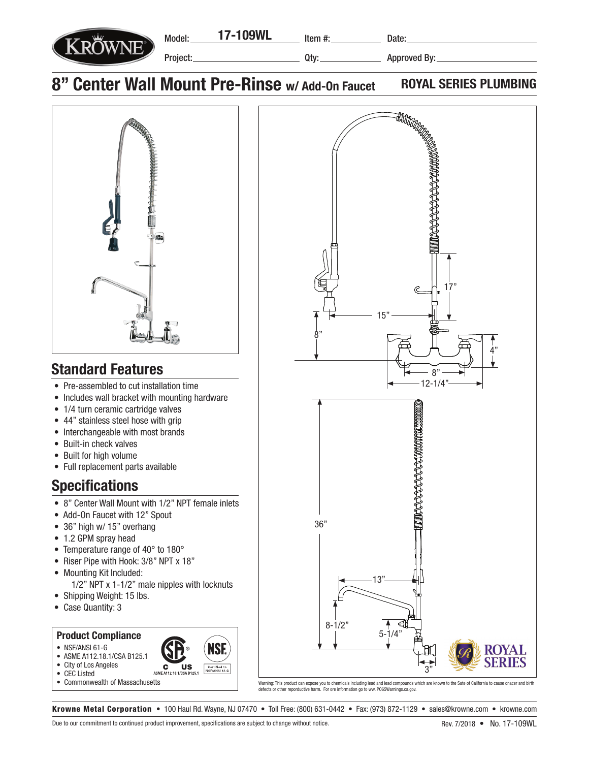

Item #:

Qty:

Date:

## 8" Center Wall Mount Pre-Rinse w/ Add-On Faucet ROYAL SERIES PLUMBING



## Standard Features

- Pre-assembled to cut installation time
- Includes wall bracket with mounting hardware
- 1/4 turn ceramic cartridge valves
- 44" stainless steel hose with grip
- Interchangeable with most brands
- Built-in check valves
- Built for high volume
- Full replacement parts available

## **Specifications**

- 8" Center Wall Mount with 1/2" NPT female inlets
- Add-On Faucet with 12" Spout
- 36" high w/ 15" overhang
- 1.2 GPM spray head
- Temperature range of 40° to 180°
- Riser Pipe with Hook: 3/8" NPT x 18"
- Mounting Kit Included: 1/2" NPT x 1-1/2" male nipples with locknuts
- Shipping Weight: 15 lbs.
- Case Quantity: 3

## Product Compliance

- NSF/ANSI 61-G
- ASME A112.18.1/CSA B125.1
- City of Los Angeles
- CEC Listed
- Commonwealth of Massachusetts



Warning: This product can expose you to chemicals including lead and lead compounds which are known to the Sate of California to cause cnacer and birth defects or other reporductive harm. For ore information go to ww. PO65Warnings.ca.gov.

Krowne Metal Corporation • 100 Haul Rd. Wayne, NJ 07470 • Toll Free: (800) 631-0442 • Fax: (973) 872-1129 • sales@krowne.com • krowne.com

**US** 

**C**<br>ASME A112.18

ISI